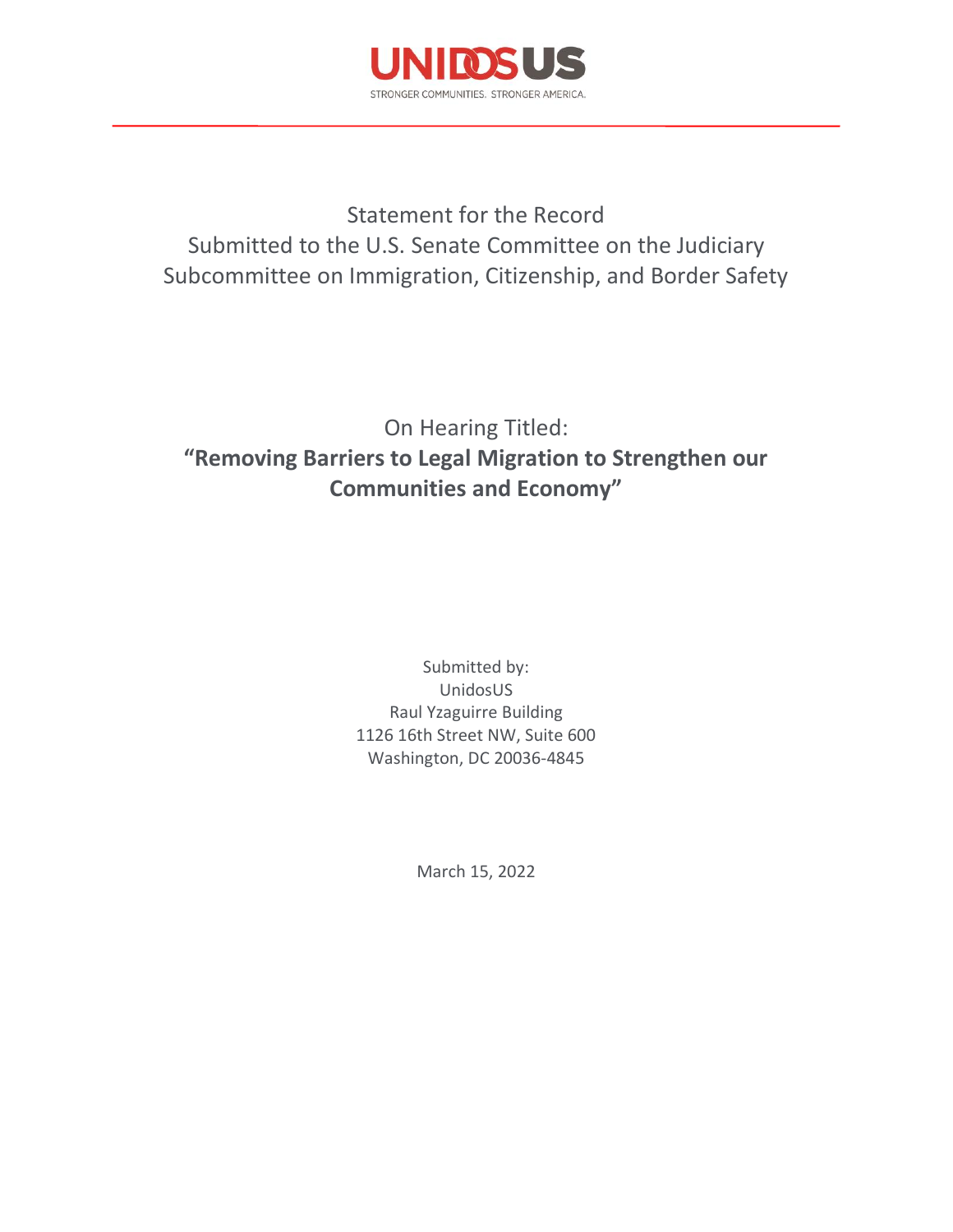

Statement for the Record Submitted to the U.S. Senate Committee on the Judiciary Subcommittee on Immigration, Citizenship, and Border Safety

# On Hearing Titled: **"Removing Barriers to Legal Migration to Strengthen our Communities and Economy"**

Submitted by: UnidosUS Raul Yzaguirre Building 1126 16th Street NW, Suite 600 Washington, DC 20036-4845

March 15, 2022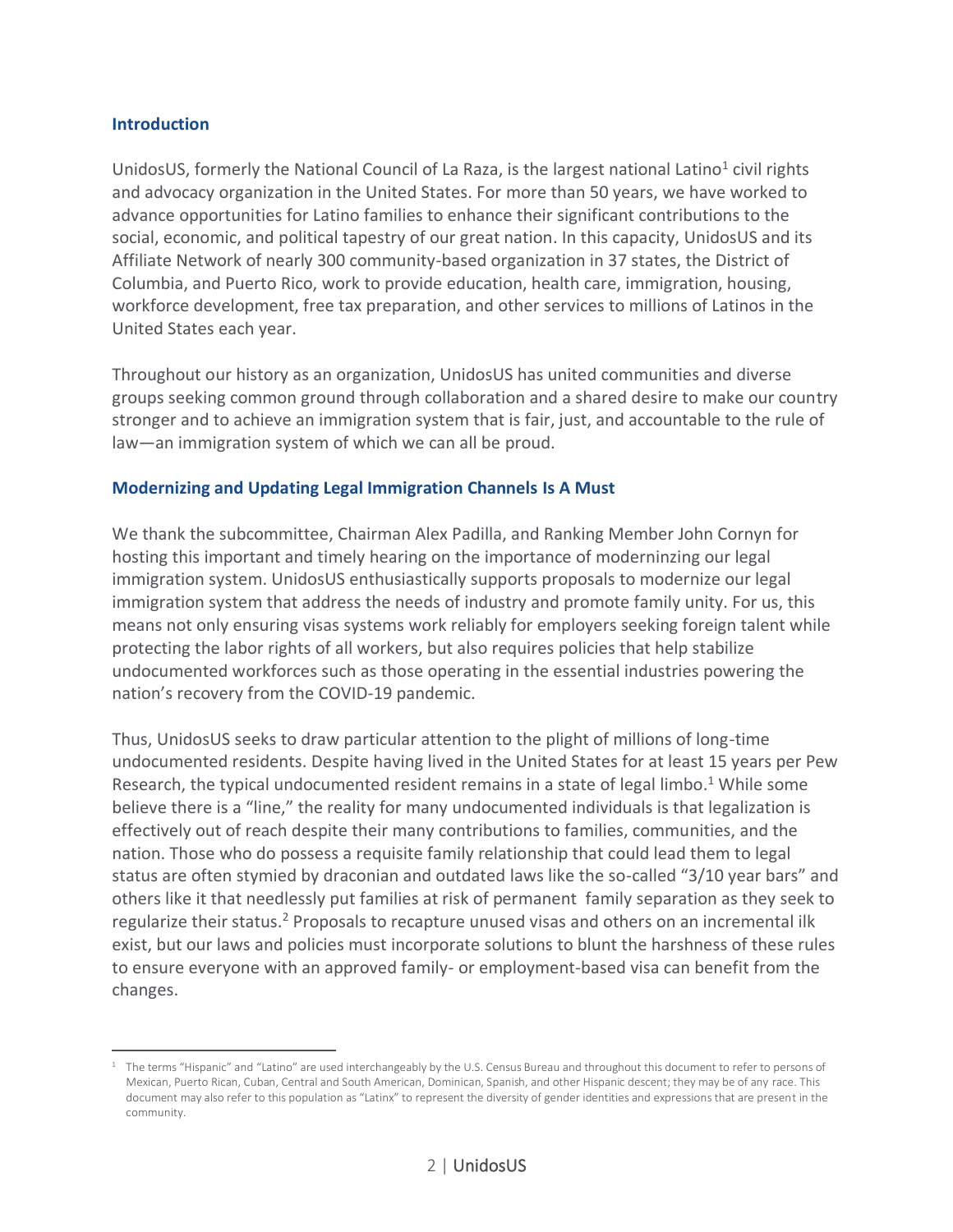### **Introduction**

UnidosUS, formerly the National Council of La Raza, is the largest national Latino<sup>1</sup> civil rights and advocacy organization in the United States. For more than 50 years, we have worked to advance opportunities for Latino families to enhance their significant contributions to the social, economic, and political tapestry of our great nation. In this capacity, UnidosUS and its Affiliate Network of nearly 300 community-based organization in 37 states, the District of Columbia, and Puerto Rico, work to provide education, health care, immigration, housing, workforce development, free tax preparation, and other services to millions of Latinos in the United States each year.

Throughout our history as an organization, UnidosUS has united communities and diverse groups seeking common ground through collaboration and a shared desire to make our country stronger and to achieve an immigration system that is fair, just, and accountable to the rule of law—an immigration system of which we can all be proud.

### **Modernizing and Updating Legal Immigration Channels Is A Must**

We thank the subcommittee, Chairman Alex Padilla, and Ranking Member John Cornyn for hosting this important and timely hearing on the importance of moderninzing our legal immigration system. UnidosUS enthusiastically supports proposals to modernize our legal immigration system that address the needs of industry and promote family unity. For us, this means not only ensuring visas systems work reliably for employers seeking foreign talent while protecting the labor rights of all workers, but also requires policies that help stabilize undocumented workforces such as those operating in the essential industries powering the nation's recovery from the COVID-19 pandemic.

Thus, UnidosUS seeks to draw particular attention to the plight of millions of long-time undocumented residents. Despite having lived in the United States for at least 15 years per Pew Research, the typical undocumented resident remains in a state of legal limbo.<sup>1</sup> While some believe there is a "line," the reality for many undocumented individuals is that legalization is effectively out of reach despite their many contributions to families, communities, and the nation. Those who do possess a requisite family relationship that could lead them to legal status are often stymied by draconian and outdated laws like the so-called "3/10 year bars" and others like it that needlessly put families at risk of permanent family separation as they seek to regularize their status.<sup>2</sup> Proposals to recapture unused visas and others on an incremental ilk exist, but our laws and policies must incorporate solutions to blunt the harshness of these rules to ensure everyone with an approved family- or employment-based visa can benefit from the changes.

<sup>&</sup>lt;sup>1</sup> The terms "Hispanic" and "Latino" are used interchangeably by the U.S. Census Bureau and throughout this document to refer to persons of Mexican, Puerto Rican, Cuban, Central and South American, Dominican, Spanish, and other Hispanic descent; they may be of any race. This document may also refer to this population as "Latinx" to represent the diversity of gender identities and expressions that are present in the community.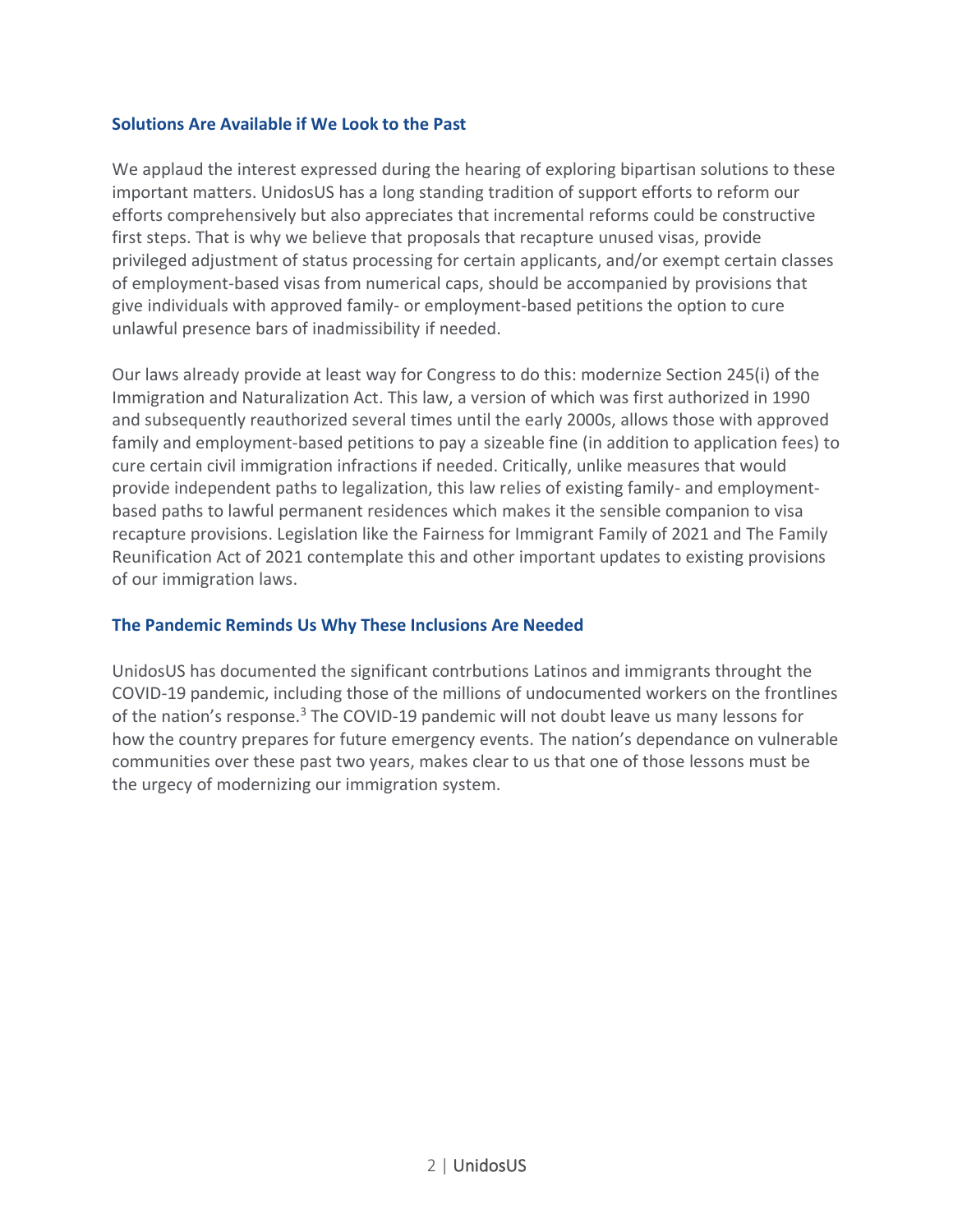## **Solutions Are Available if We Look to the Past**

We applaud the interest expressed during the hearing of exploring bipartisan solutions to these important matters. UnidosUS has a long standing tradition of support efforts to reform our efforts comprehensively but also appreciates that incremental reforms could be constructive first steps. That is why we believe that proposals that recapture unused visas, provide privileged adjustment of status processing for certain applicants, and/or exempt certain classes of employment-based visas from numerical caps, should be accompanied by provisions that give individuals with approved family- or employment-based petitions the option to cure unlawful presence bars of inadmissibility if needed.

Our laws already provide at least way for Congress to do this: modernize Section 245(i) of the Immigration and Naturalization Act. This law, a version of which was first authorized in 1990 and subsequently reauthorized several times until the early 2000s, allows those with approved family and employment-based petitions to pay a sizeable fine (in addition to application fees) to cure certain civil immigration infractions if needed. Critically, unlike measures that would provide independent paths to legalization, this law relies of existing family- and employmentbased paths to lawful permanent residences which makes it the sensible companion to visa recapture provisions. Legislation like the Fairness for Immigrant Family of 2021 and The Family Reunification Act of 2021 contemplate this and other important updates to existing provisions of our immigration laws.

## **The Pandemic Reminds Us Why These Inclusions Are Needed**

UnidosUS has documented the significant contrbutions Latinos and immigrants throught the COVID-19 pandemic, including those of the millions of undocumented workers on the frontlines of the nation's response.<sup>3</sup> The COVID-19 pandemic will not doubt leave us many lessons for how the country prepares for future emergency events. The nation's dependance on vulnerable communities over these past two years, makes clear to us that one of those lessons must be the urgecy of modernizing our immigration system.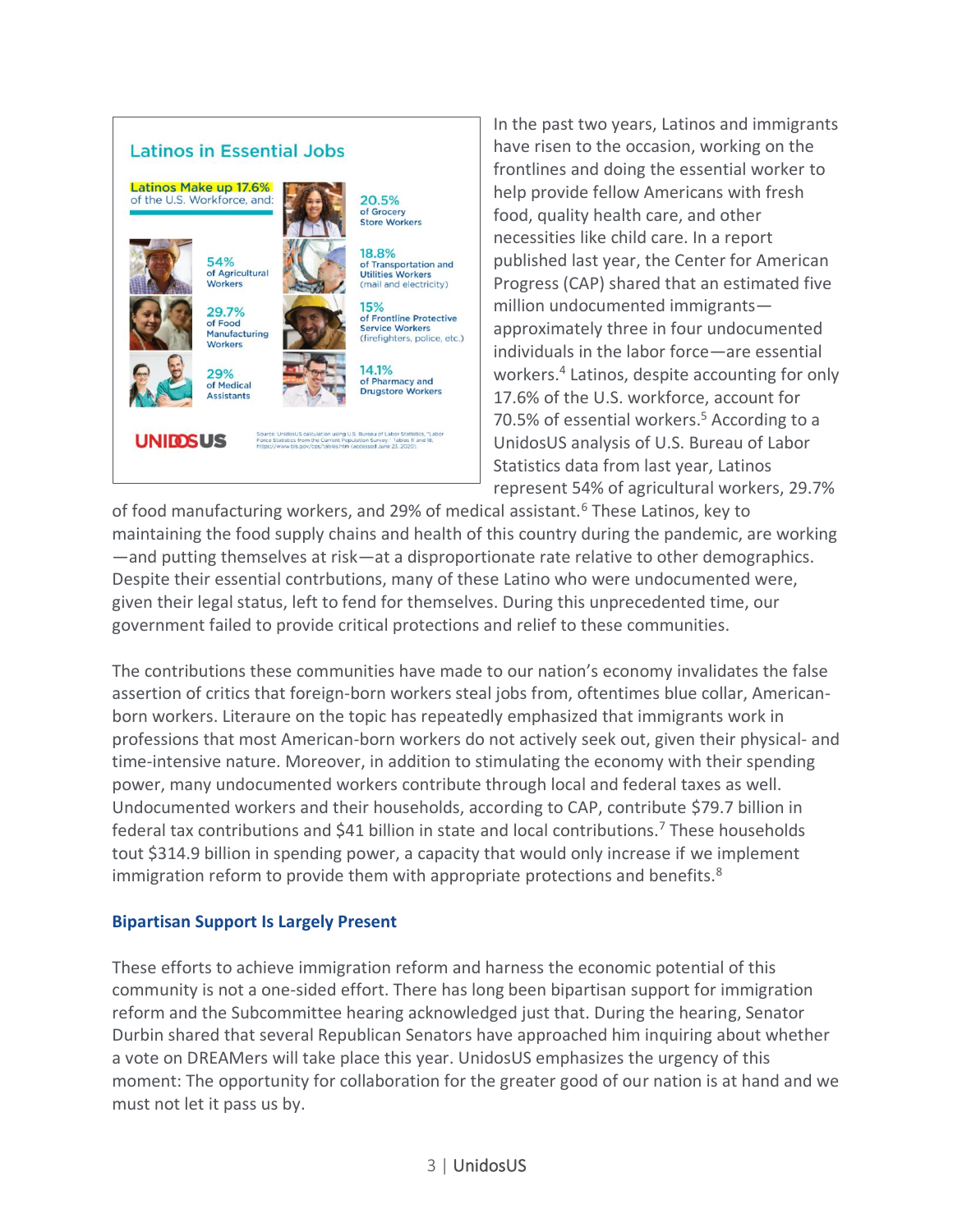

In the past two years, Latinos and immigrants have risen to the occasion, working on the frontlines and doing the essential worker to help provide fellow Americans with fresh food, quality health care, and other necessities like child care. In a report published last year, the Center for American Progress (CAP) shared that an estimated five million undocumented immigrants approximately three in four undocumented individuals in the labor force—are essential workers.<sup>4</sup> Latinos, despite accounting for only 17.6% of the U.S. workforce, account for 70.5% of essential workers.<sup>5</sup> According to a UnidosUS analysis of U.S. Bureau of Labor Statistics data from last year, Latinos represent 54% of agricultural workers, 29.7%

of food manufacturing workers, and 29% of medical assistant.<sup>6</sup> These Latinos, key to maintaining the food supply chains and health of this country during the pandemic, are working —and putting themselves at risk—at a disproportionate rate relative to other demographics. Despite their essential contrbutions, many of these Latino who were undocumented were, given their legal status, left to fend for themselves. During this unprecedented time, our government failed to provide critical protections and relief to these communities.

The contributions these communities have made to our nation's economy invalidates the false assertion of critics that foreign-born workers steal jobs from, oftentimes blue collar, Americanborn workers. Literaure on the topic has repeatedly emphasized that immigrants work in professions that most American-born workers do not actively seek out, given their physical- and time-intensive nature. Moreover, in addition to stimulating the economy with their spending power, many undocumented workers contribute through local and federal taxes as well. Undocumented workers and their households, according to CAP, contribute \$79.7 billion in federal tax contributions and \$41 billion in state and local contributions.<sup>7</sup> These households tout \$314.9 billion in spending power, a capacity that would only increase if we implement immigration reform to provide them with appropriate protections and benefits.<sup>8</sup>

### **Bipartisan Support Is Largely Present**

These efforts to achieve immigration reform and harness the economic potential of this community is not a one-sided effort. There has long been bipartisan support for immigration reform and the Subcommittee hearing acknowledged just that. During the hearing, Senator Durbin shared that several Republican Senators have approached him inquiring about whether a vote on DREAMers will take place this year. UnidosUS emphasizes the urgency of this moment: The opportunity for collaboration for the greater good of our nation is at hand and we must not let it pass us by.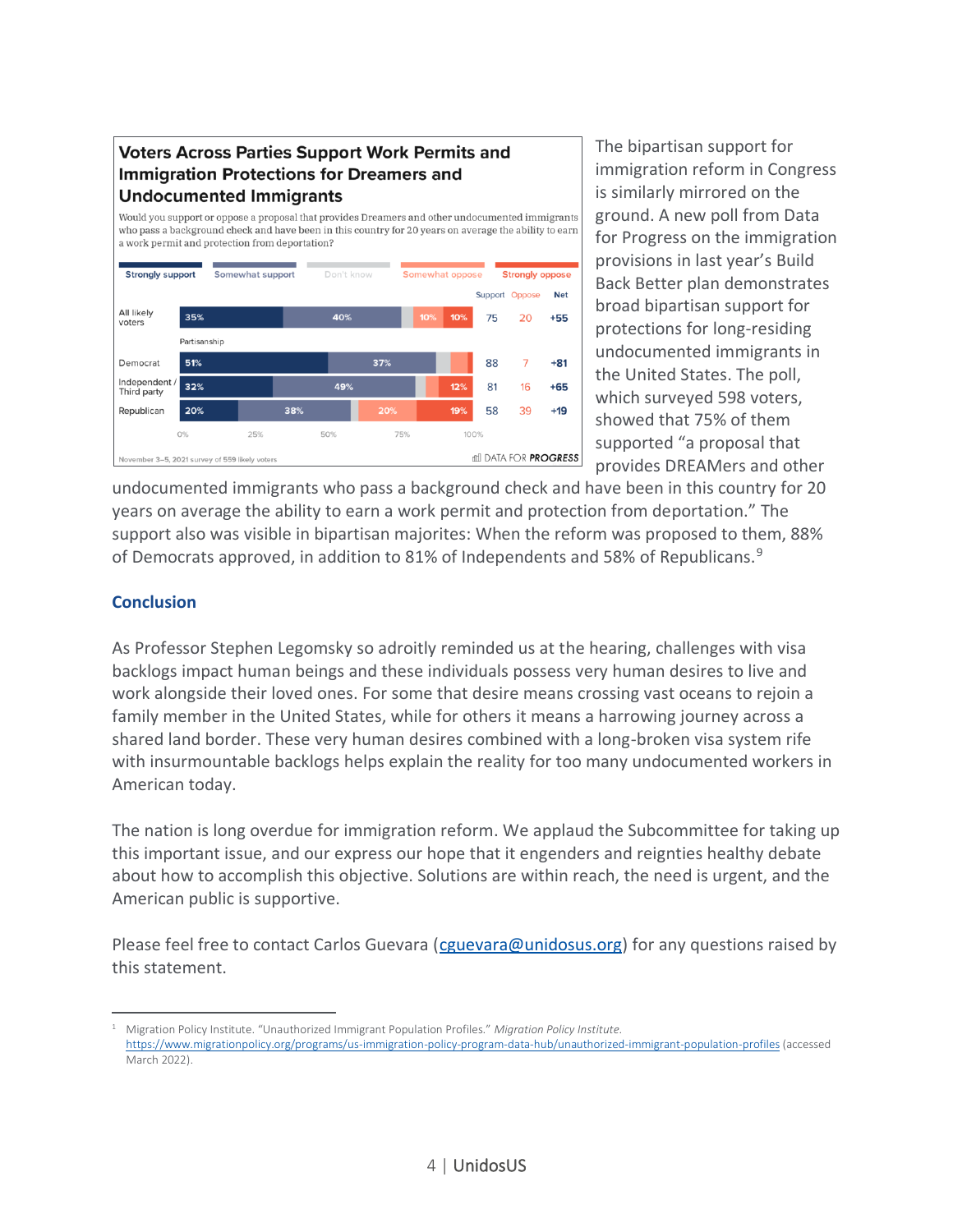# **Voters Across Parties Support Work Permits and Immigration Protections for Dreamers and Undocumented Immigrants**

Would you support or oppose a proposal that provides Dreamers and other undocumented immigrants who pass a background check and have been in this country for 20 years on average the ability to earn a work permit and protection from deportation? **Strongly support** Somewhat support Somewhat oppose **Strongly oppose** Don't kno Support Oppose **Net** All likely 35% 409 20  $+55$ 75 voters Partisanship 51%  $37%$ 88  $\overline{7}$  $+81$ Democrat Independent /<br>Third party 49%  $32%$ 81  $12<sup>9</sup>$ 16  $+65$ 38% Republican 58 39  $+19$ 20% 50% 75% 0% 25% 100% di DATA FOR **PROGRESS** mber 3–5, 2021 survey of 559 likely voters

The bipartisan support for immigration reform in Congress is similarly mirrored on the ground. A new poll from Data for Progress on the immigration provisions in last year's Build Back Better plan demonstrates broad bipartisan support for protections for long-residing undocumented immigrants in the United States. The poll, which surveyed 598 voters, showed that 75% of them supported "a proposal that provides DREAMers and other

undocumented immigrants who pass a background check and have been in this country for 20 years on average the ability to earn a work permit and protection from deportation." The support also was visible in bipartisan majorites: When the reform was proposed to them, 88% of Democrats approved, in addition to 81% of Independents and 58% of Republicans.<sup>9</sup>

# **Conclusion**

As Professor Stephen Legomsky so adroitly reminded us at the hearing, challenges with visa backlogs impact human beings and these individuals possess very human desires to live and work alongside their loved ones. For some that desire means crossing vast oceans to rejoin a family member in the United States, while for others it means a harrowing journey across a shared land border. These very human desires combined with a long-broken visa system rife with insurmountable backlogs helps explain the reality for too many undocumented workers in American today.

The nation is long overdue for immigration reform. We applaud the Subcommittee for taking up this important issue, and our express our hope that it engenders and reignties healthy debate about how to accomplish this objective. Solutions are within reach, the need is urgent, and the American public is supportive.

Please feel free to contact Carlos Guevara [\(cguevara@unidosus.org\)](mailto:cguevara@unidosus.org) for any questions raised by this statement.

<sup>1</sup> Migration Policy Institute. "Unauthorized Immigrant Population Profiles." *Migration Policy Institute.*  <https://www.migrationpolicy.org/programs/us-immigration-policy-program-data-hub/unauthorized-immigrant-population-profiles> (accessed March 2022).